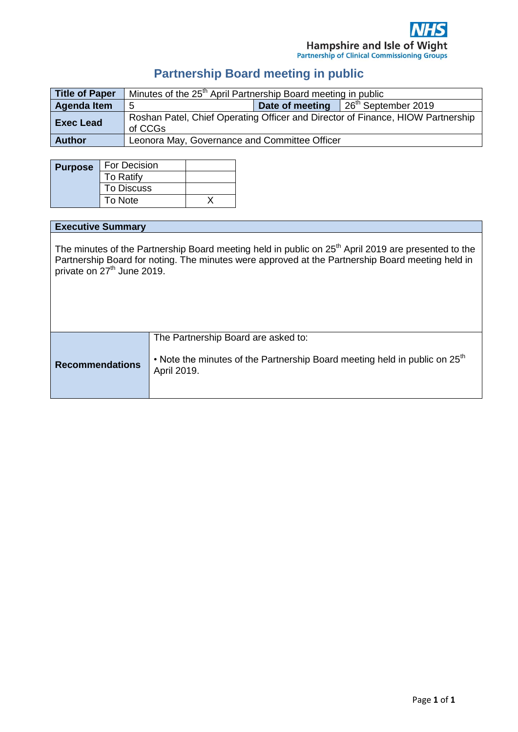# **Partnership Board meeting in public**

| <b>Title of Paper</b> | Minutes of the 25 <sup>th</sup> April Partnership Board meeting in public                  |  |                                               |
|-----------------------|--------------------------------------------------------------------------------------------|--|-----------------------------------------------|
| <b>Agenda Item</b>    | 5                                                                                          |  | Date of meeting $\frac{1}{26}$ September 2019 |
| <b>Exec Lead</b>      | Roshan Patel, Chief Operating Officer and Director of Finance, HIOW Partnership<br>of CCGs |  |                                               |
| <b>Author</b>         | Leonora May, Governance and Committee Officer                                              |  |                                               |

| <b>Purpose</b> | For Decision      |  |
|----------------|-------------------|--|
|                | To Ratify         |  |
|                | <b>To Discuss</b> |  |
|                | To Note           |  |

# **Executive Summary**

The minutes of the Partnership Board meeting held in public on  $25<sup>th</sup>$  April 2019 are presented to the Partnership Board for noting. The minutes were approved at the Partnership Board meeting held in private on 27<sup>th</sup> June 2019.

|                        | The Partnership Board are asked to:                                                                   |
|------------------------|-------------------------------------------------------------------------------------------------------|
| <b>Recommendations</b> | • Note the minutes of the Partnership Board meeting held in public on 25 <sup>th</sup><br>April 2019. |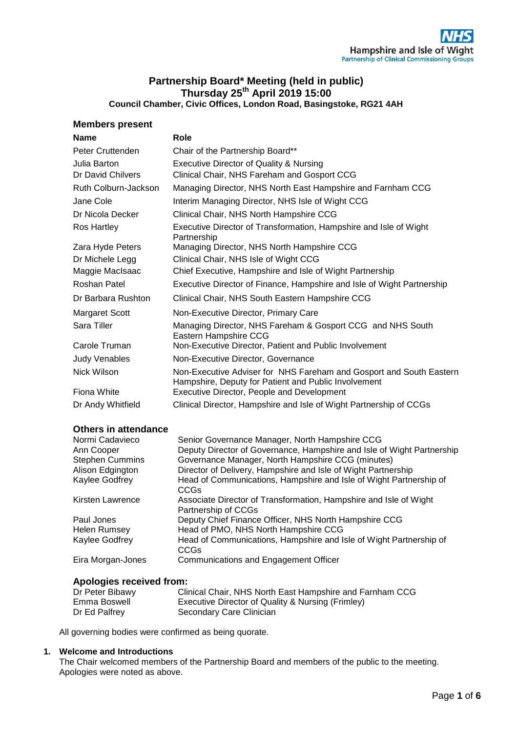# **Partnership Board\* Meeting (held in public) Thursday 25th April 2019 15:00**

**Council Chamber, Civic Offices, London Road, Basingstoke, RG21 4AH**

# **Members present**

| <b>Name</b>          | Role                                                                                                                        |
|----------------------|-----------------------------------------------------------------------------------------------------------------------------|
| Peter Cruttenden     | Chair of the Partnership Board**                                                                                            |
| Julia Barton         | Executive Director of Quality & Nursing                                                                                     |
| Dr David Chilvers    | Clinical Chair, NHS Fareham and Gosport CCG                                                                                 |
| Ruth Colburn-Jackson | Managing Director, NHS North East Hampshire and Farnham CCG                                                                 |
| Jane Cole            | Interim Managing Director, NHS Isle of Wight CCG                                                                            |
| Dr Nicola Decker     | Clinical Chair, NHS North Hampshire CCG                                                                                     |
| Ros Hartley          | Executive Director of Transformation, Hampshire and Isle of Wight<br>Partnership                                            |
| Zara Hyde Peters     | Managing Director, NHS North Hampshire CCG                                                                                  |
| Dr Michele Legg      | Clinical Chair, NHS Isle of Wight CCG                                                                                       |
| Maggie MacIsaac      | Chief Executive, Hampshire and Isle of Wight Partnership                                                                    |
| Roshan Patel         | Executive Director of Finance, Hampshire and Isle of Wight Partnership                                                      |
| Dr Barbara Rushton   | Clinical Chair, NHS South Eastern Hampshire CCG                                                                             |
| Margaret Scott       | Non-Executive Director, Primary Care                                                                                        |
| Sara Tiller          | Managing Director, NHS Fareham & Gosport CCG and NHS South<br>Eastern Hampshire CCG                                         |
| Carole Truman        | Non-Executive Director, Patient and Public Involvement                                                                      |
| <b>Judy Venables</b> | Non-Executive Director, Governance                                                                                          |
| Nick Wilson          | Non-Executive Adviser for NHS Fareham and Gosport and South Eastern<br>Hampshire, Deputy for Patient and Public Involvement |
| Fiona White          | Executive Director, People and Development                                                                                  |
| Dr Andy Whitfield    | Clinical Director, Hampshire and Isle of Wight Partnership of CCGs                                                          |

# **Others in attendance**

| Normi Cadavieco                      | Senior Governance Manager, North Hampshire CCG<br>Deputy Director of Governance, Hampshire and Isle of Wight Partnership |
|--------------------------------------|--------------------------------------------------------------------------------------------------------------------------|
| Ann Cooper<br><b>Stephen Cummins</b> | Governance Manager, North Hampshire CCG (minutes)                                                                        |
| Alison Edgington                     | Director of Delivery, Hampshire and Isle of Wight Partnership                                                            |
| Kaylee Godfrey                       | Head of Communications, Hampshire and Isle of Wight Partnership of<br>CCGs                                               |
| Kirsten Lawrence                     | Associate Director of Transformation, Hampshire and Isle of Wight<br>Partnership of CCGs                                 |
| Paul Jones                           | Deputy Chief Finance Officer, NHS North Hampshire CCG                                                                    |
| <b>Helen Rumsey</b>                  | Head of PMO, NHS North Hampshire CCG                                                                                     |
| Kaylee Godfrey                       | Head of Communications, Hampshire and Isle of Wight Partnership of<br><b>CCGs</b>                                        |
| Eira Morgan-Jones                    | Communications and Engagement Officer                                                                                    |

# **Apologies received from:**

| Dr Peter Bibawy | Clinical Chair, NHS North East Hampshire and Farnham CCG |
|-----------------|----------------------------------------------------------|
| Emma Boswell    | Executive Director of Quality & Nursing (Frimley)        |
| Dr Ed Palfrey   | Secondary Care Clinician                                 |

All governing bodies were confirmed as being quorate.

# **1. Welcome and Introductions**

The Chair welcomed members of the Partnership Board and members of the public to the meeting. Apologies were noted as above.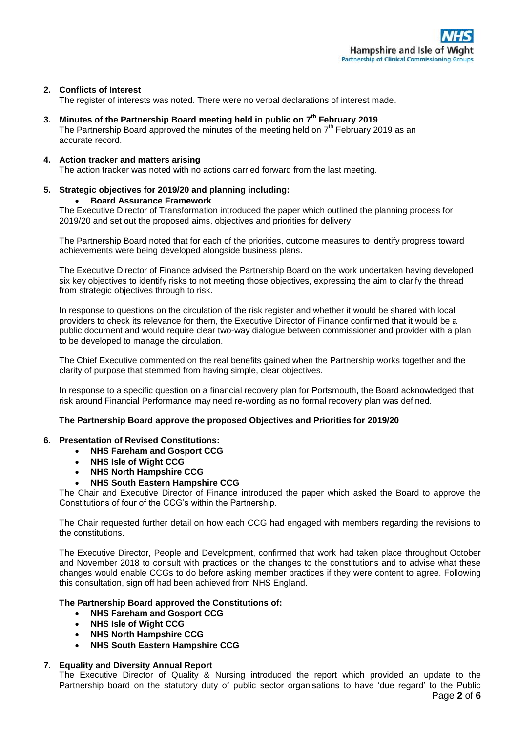# **2. Conflicts of Interest**

The register of interests was noted. There were no verbal declarations of interest made.

# **3. Minutes of the Partnership Board meeting held in public on 7 th February 2019**

The Partnership Board approved the minutes of the meeting held on  $7<sup>th</sup>$  February 2019 as an accurate record.

#### **4. Action tracker and matters arising**

The action tracker was noted with no actions carried forward from the last meeting.

# **5. Strategic objectives for 2019/20 and planning including:**

#### **Board Assurance Framework**

The Executive Director of Transformation introduced the paper which outlined the planning process for 2019/20 and set out the proposed aims, objectives and priorities for delivery.

The Partnership Board noted that for each of the priorities, outcome measures to identify progress toward achievements were being developed alongside business plans.

The Executive Director of Finance advised the Partnership Board on the work undertaken having developed six key objectives to identify risks to not meeting those objectives, expressing the aim to clarify the thread from strategic objectives through to risk.

In response to questions on the circulation of the risk register and whether it would be shared with local providers to check its relevance for them, the Executive Director of Finance confirmed that it would be a public document and would require clear two-way dialogue between commissioner and provider with a plan to be developed to manage the circulation.

The Chief Executive commented on the real benefits gained when the Partnership works together and the clarity of purpose that stemmed from having simple, clear objectives.

In response to a specific question on a financial recovery plan for Portsmouth, the Board acknowledged that risk around Financial Performance may need re-wording as no formal recovery plan was defined.

# **The Partnership Board approve the proposed Objectives and Priorities for 2019/20**

#### **6. Presentation of Revised Constitutions:**

- **NHS Fareham and Gosport CCG**
- **NHS Isle of Wight CCG**
- **NHS North Hampshire CCG**
- **NHS South Eastern Hampshire CCG**

The Chair and Executive Director of Finance introduced the paper which asked the Board to approve the Constitutions of four of the CCG's within the Partnership.

The Chair requested further detail on how each CCG had engaged with members regarding the revisions to the constitutions.

The Executive Director, People and Development, confirmed that work had taken place throughout October and November 2018 to consult with practices on the changes to the constitutions and to advise what these changes would enable CCGs to do before asking member practices if they were content to agree. Following this consultation, sign off had been achieved from NHS England.

# **The Partnership Board approved the Constitutions of:**

- **NHS Fareham and Gosport CCG**
- **NHS Isle of Wight CCG**
- **NHS North Hampshire CCG**
- **NHS South Eastern Hampshire CCG**

# **7. Equality and Diversity Annual Report**

The Executive Director of Quality & Nursing introduced the report which provided an update to the Partnership board on the statutory duty of public sector organisations to have 'due regard' to the Public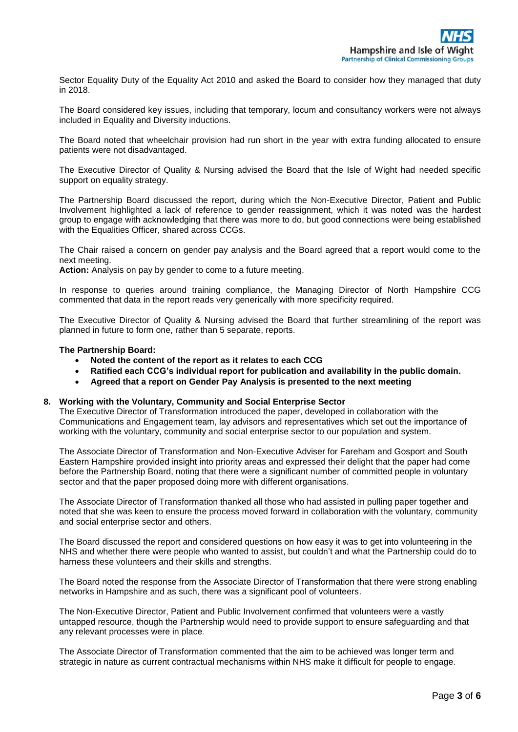Sector Equality Duty of the Equality Act 2010 and asked the Board to consider how they managed that duty in 2018.

The Board considered key issues, including that temporary, locum and consultancy workers were not always included in Equality and Diversity inductions.

The Board noted that wheelchair provision had run short in the year with extra funding allocated to ensure patients were not disadvantaged.

The Executive Director of Quality & Nursing advised the Board that the Isle of Wight had needed specific support on equality strategy.

The Partnership Board discussed the report, during which the Non-Executive Director, Patient and Public Involvement highlighted a lack of reference to gender reassignment, which it was noted was the hardest group to engage with acknowledging that there was more to do, but good connections were being established with the Equalities Officer, shared across CCGs.

The Chair raised a concern on gender pay analysis and the Board agreed that a report would come to the next meeting.

**Action:** Analysis on pay by gender to come to a future meeting.

In response to queries around training compliance, the Managing Director of North Hampshire CCG commented that data in the report reads very generically with more specificity required.

The Executive Director of Quality & Nursing advised the Board that further streamlining of the report was planned in future to form one, rather than 5 separate, reports.

#### **The Partnership Board:**

- **Noted the content of the report as it relates to each CCG**
- **Ratified each CCG's individual report for publication and availability in the public domain.**
- **Agreed that a report on Gender Pay Analysis is presented to the next meeting**

#### **8. Working with the Voluntary, Community and Social Enterprise Sector**

The Executive Director of Transformation introduced the paper, developed in collaboration with the Communications and Engagement team, lay advisors and representatives which set out the importance of working with the voluntary, community and social enterprise sector to our population and system.

The Associate Director of Transformation and Non-Executive Adviser for Fareham and Gosport and South Eastern Hampshire provided insight into priority areas and expressed their delight that the paper had come before the Partnership Board, noting that there were a significant number of committed people in voluntary sector and that the paper proposed doing more with different organisations.

The Associate Director of Transformation thanked all those who had assisted in pulling paper together and noted that she was keen to ensure the process moved forward in collaboration with the voluntary, community and social enterprise sector and others.

The Board discussed the report and considered questions on how easy it was to get into volunteering in the NHS and whether there were people who wanted to assist, but couldn't and what the Partnership could do to harness these volunteers and their skills and strengths.

The Board noted the response from the Associate Director of Transformation that there were strong enabling networks in Hampshire and as such, there was a significant pool of volunteers.

The Non-Executive Director, Patient and Public Involvement confirmed that volunteers were a vastly untapped resource, though the Partnership would need to provide support to ensure safeguarding and that any relevant processes were in place.

The Associate Director of Transformation commented that the aim to be achieved was longer term and strategic in nature as current contractual mechanisms within NHS make it difficult for people to engage.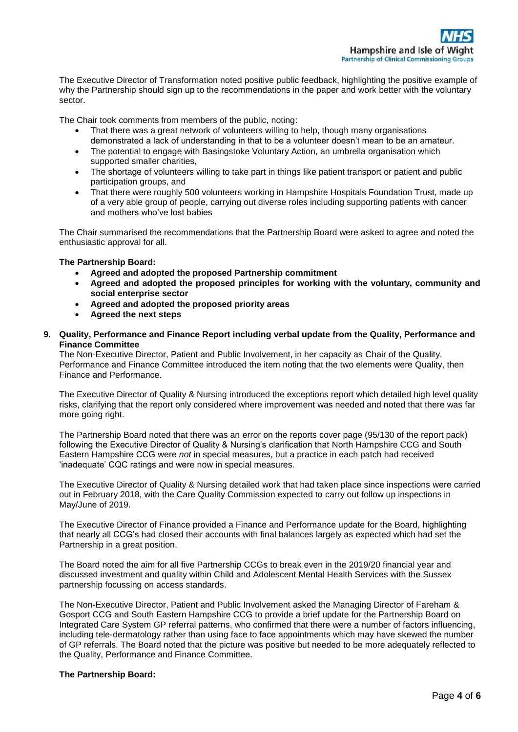The Executive Director of Transformation noted positive public feedback, highlighting the positive example of why the Partnership should sign up to the recommendations in the paper and work better with the voluntary sector.

The Chair took comments from members of the public, noting:

- That there was a great network of volunteers willing to help, though many organisations demonstrated a lack of understanding in that to be a volunteer doesn't mean to be an amateur.
- The potential to engage with Basingstoke Voluntary Action, an umbrella organisation which supported smaller charities,
- The shortage of volunteers willing to take part in things like patient transport or patient and public participation groups, and
- That there were roughly 500 volunteers working in Hampshire Hospitals Foundation Trust, made up of a very able group of people, carrying out diverse roles including supporting patients with cancer and mothers who've lost babies

The Chair summarised the recommendations that the Partnership Board were asked to agree and noted the enthusiastic approval for all.

# **The Partnership Board:**

- **Agreed and adopted the proposed Partnership commitment**
- **Agreed and adopted the proposed principles for working with the voluntary, community and social enterprise sector**
- **Agreed and adopted the proposed priority areas**
- **Agreed the next steps**

# **9. Quality, Performance and Finance Report including verbal update from the Quality, Performance and Finance Committee**

The Non-Executive Director, Patient and Public Involvement, in her capacity as Chair of the Quality, Performance and Finance Committee introduced the item noting that the two elements were Quality, then Finance and Performance.

The Executive Director of Quality & Nursing introduced the exceptions report which detailed high level quality risks, clarifying that the report only considered where improvement was needed and noted that there was far more going right.

The Partnership Board noted that there was an error on the reports cover page (95/130 of the report pack) following the Executive Director of Quality & Nursing's clarification that North Hampshire CCG and South Eastern Hampshire CCG were *not* in special measures, but a practice in each patch had received 'inadequate' CQC ratings and were now in special measures.

The Executive Director of Quality & Nursing detailed work that had taken place since inspections were carried out in February 2018, with the Care Quality Commission expected to carry out follow up inspections in May/June of 2019.

The Executive Director of Finance provided a Finance and Performance update for the Board, highlighting that nearly all CCG's had closed their accounts with final balances largely as expected which had set the Partnership in a great position.

The Board noted the aim for all five Partnership CCGs to break even in the 2019/20 financial year and discussed investment and quality within Child and Adolescent Mental Health Services with the Sussex partnership focussing on access standards.

The Non-Executive Director, Patient and Public Involvement asked the Managing Director of Fareham & Gosport CCG and South Eastern Hampshire CCG to provide a brief update for the Partnership Board on Integrated Care System GP referral patterns, who confirmed that there were a number of factors influencing, including tele-dermatology rather than using face to face appointments which may have skewed the number of GP referrals. The Board noted that the picture was positive but needed to be more adequately reflected to the Quality, Performance and Finance Committee.

# **The Partnership Board:**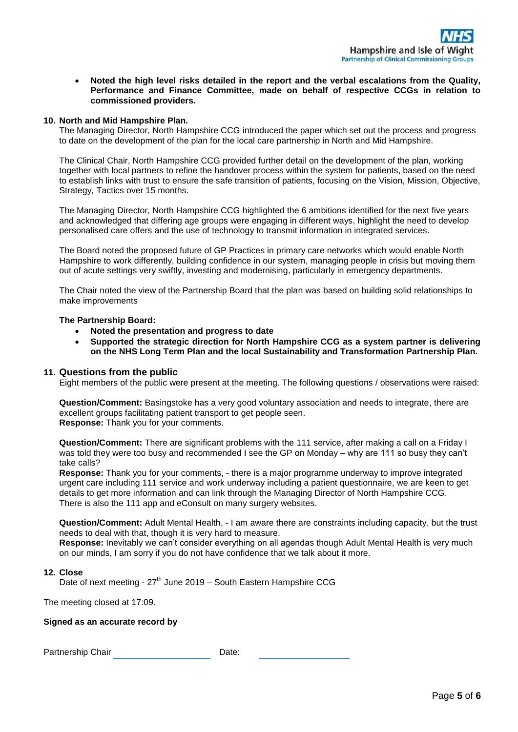**Noted the high level risks detailed in the report and the verbal escalations from the Quality, Performance and Finance Committee, made on behalf of respective CCGs in relation to commissioned providers.**

# **10. North and Mid Hampshire Plan.**

The Managing Director, North Hampshire CCG introduced the paper which set out the process and progress to date on the development of the plan for the local care partnership in North and Mid Hampshire.

The Clinical Chair, North Hampshire CCG provided further detail on the development of the plan, working together with local partners to refine the handover process within the system for patients, based on the need to establish links with trust to ensure the safe transition of patients, focusing on the Vision, Mission, Objective, Strategy, Tactics over 15 months.

The Managing Director, North Hampshire CCG highlighted the 6 ambitions identified for the next five years and acknowledged that differing age groups were engaging in different ways, highlight the need to develop personalised care offers and the use of technology to transmit information in integrated services.

The Board noted the proposed future of GP Practices in primary care networks which would enable North Hampshire to work differently, building confidence in our system, managing people in crisis but moving them out of acute settings very swiftly, investing and modernising, particularly in emergency departments.

The Chair noted the view of the Partnership Board that the plan was based on building solid relationships to make improvements

**The Partnership Board:**

- **Noted the presentation and progress to date**
- **Supported the strategic direction for North Hampshire CCG as a system partner is delivering on the NHS Long Term Plan and the local Sustainability and Transformation Partnership Plan.**

# **11. Questions from the public**

Eight members of the public were present at the meeting. The following questions / observations were raised:

**Question/Comment:** Basingstoke has a very good voluntary association and needs to integrate, there are excellent groups facilitating patient transport to get people seen. **Response:** Thank you for your comments.

**Question/Comment:** There are significant problems with the 111 service, after making a call on a Friday I was told they were too busy and recommended I see the GP on Monday – why are 111 so busy they can't take calls?

**Response:** Thank you for your comments, - there is a major programme underway to improve integrated urgent care including 111 service and work underway including a patient questionnaire, we are keen to get details to get more information and can link through the Managing Director of North Hampshire CCG. There is also the 111 app and eConsult on many surgery websites.

**Question/Comment:** Adult Mental Health, - I am aware there are constraints including capacity, but the trust needs to deal with that, though it is very hard to measure.

**Response:** Inevitably we can't consider everything on all agendas though Adult Mental Health is very much on our minds, I am sorry if you do not have confidence that we talk about it more.

# **12. Close**

Date of next meeting - 27<sup>th</sup> June 2019 – South Eastern Hampshire CCG

The meeting closed at 17:09.

# **Signed as an accurate record by**

Partnership Chair **Date:** Date: